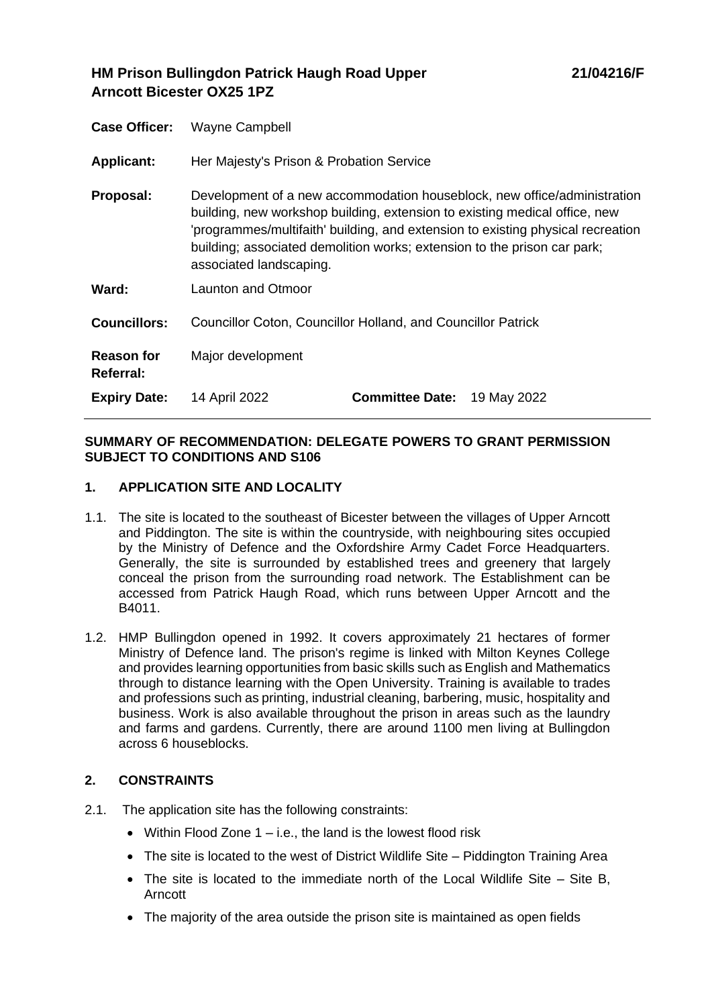# **HM Prison Bullingdon Patrick Haugh Road Upper Arncott Bicester OX25 1PZ**

| <b>Case Officer:</b>           | Wayne Campbell                                                                                                                                                                                                                                                                                                                                   |                        |             |
|--------------------------------|--------------------------------------------------------------------------------------------------------------------------------------------------------------------------------------------------------------------------------------------------------------------------------------------------------------------------------------------------|------------------------|-------------|
| <b>Applicant:</b>              | Her Majesty's Prison & Probation Service                                                                                                                                                                                                                                                                                                         |                        |             |
| Proposal:                      | Development of a new accommodation houseblock, new office/administration<br>building, new workshop building, extension to existing medical office, new<br>'programmes/multifaith' building, and extension to existing physical recreation<br>building; associated demolition works; extension to the prison car park;<br>associated landscaping. |                        |             |
| Ward:                          | Launton and Otmoor                                                                                                                                                                                                                                                                                                                               |                        |             |
| <b>Councillors:</b>            | <b>Councillor Coton, Councillor Holland, and Councillor Patrick</b>                                                                                                                                                                                                                                                                              |                        |             |
| <b>Reason for</b><br>Referral: | Major development                                                                                                                                                                                                                                                                                                                                |                        |             |
| <b>Expiry Date:</b>            | 14 April 2022                                                                                                                                                                                                                                                                                                                                    | <b>Committee Date:</b> | 19 May 2022 |

## **SUMMARY OF RECOMMENDATION: DELEGATE POWERS TO GRANT PERMISSION SUBJECT TO CONDITIONS AND S106**

# **1. APPLICATION SITE AND LOCALITY**

- 1.1. The site is located to the southeast of Bicester between the villages of Upper Arncott and Piddington. The site is within the countryside, with neighbouring sites occupied by the Ministry of Defence and the Oxfordshire Army Cadet Force Headquarters. Generally, the site is surrounded by established trees and greenery that largely conceal the prison from the surrounding road network. The Establishment can be accessed from Patrick Haugh Road, which runs between Upper Arncott and the B4011.
- 1.2. HMP Bullingdon opened in 1992. It covers approximately 21 hectares of former Ministry of Defence land. The prison's regime is linked with Milton Keynes College and provides learning opportunities from basic skills such as English and Mathematics through to distance learning with the Open University. Training is available to trades and professions such as printing, industrial cleaning, barbering, music, hospitality and business. Work is also available throughout the prison in areas such as the laundry and farms and gardens. Currently, there are around 1100 men living at Bullingdon across 6 houseblocks.

## **2. CONSTRAINTS**

- 2.1. The application site has the following constraints:
	- Within Flood Zone  $1 i.e.,$  the land is the lowest flood risk
	- The site is located to the west of District Wildlife Site Piddington Training Area
	- The site is located to the immediate north of the Local Wildlife Site Site B, Arncott
	- The majority of the area outside the prison site is maintained as open fields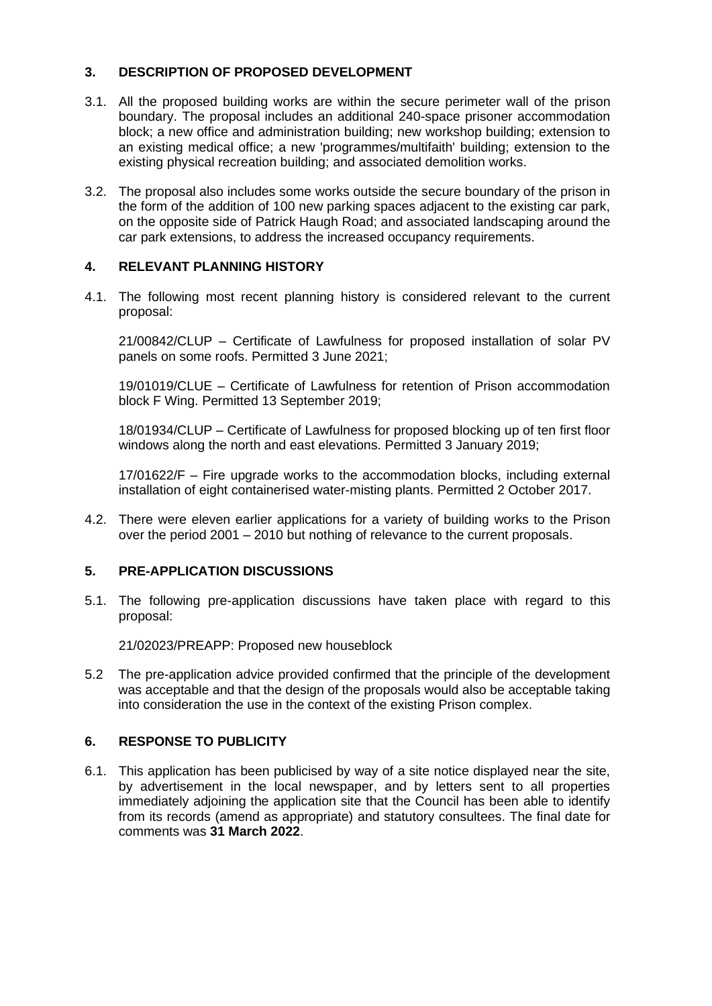# **3. DESCRIPTION OF PROPOSED DEVELOPMENT**

- 3.1. All the proposed building works are within the secure perimeter wall of the prison boundary. The proposal includes an additional 240-space prisoner accommodation block; a new office and administration building; new workshop building; extension to an existing medical office; a new 'programmes/multifaith' building; extension to the existing physical recreation building; and associated demolition works.
- 3.2. The proposal also includes some works outside the secure boundary of the prison in the form of the addition of 100 new parking spaces adjacent to the existing car park, on the opposite side of Patrick Haugh Road; and associated landscaping around the car park extensions, to address the increased occupancy requirements.

# **4. RELEVANT PLANNING HISTORY**

4.1. The following most recent planning history is considered relevant to the current proposal:

21/00842/CLUP – Certificate of Lawfulness for proposed installation of solar PV panels on some roofs. Permitted 3 June 2021;

19/01019/CLUE – Certificate of Lawfulness for retention of Prison accommodation block F Wing. Permitted 13 September 2019;

18/01934/CLUP – Certificate of Lawfulness for proposed blocking up of ten first floor windows along the north and east elevations. Permitted 3 January 2019;

17/01622/F – Fire upgrade works to the accommodation blocks, including external installation of eight containerised water-misting plants. Permitted 2 October 2017.

4.2. There were eleven earlier applications for a variety of building works to the Prison over the period 2001 – 2010 but nothing of relevance to the current proposals.

## **5. PRE-APPLICATION DISCUSSIONS**

5.1. The following pre-application discussions have taken place with regard to this proposal:

21/02023/PREAPP: Proposed new houseblock

5.2 The pre-application advice provided confirmed that the principle of the development was acceptable and that the design of the proposals would also be acceptable taking into consideration the use in the context of the existing Prison complex.

## **6. RESPONSE TO PUBLICITY**

6.1. This application has been publicised by way of a site notice displayed near the site, by advertisement in the local newspaper, and by letters sent to all properties immediately adjoining the application site that the Council has been able to identify from its records (amend as appropriate) and statutory consultees. The final date for comments was **31 March 2022**.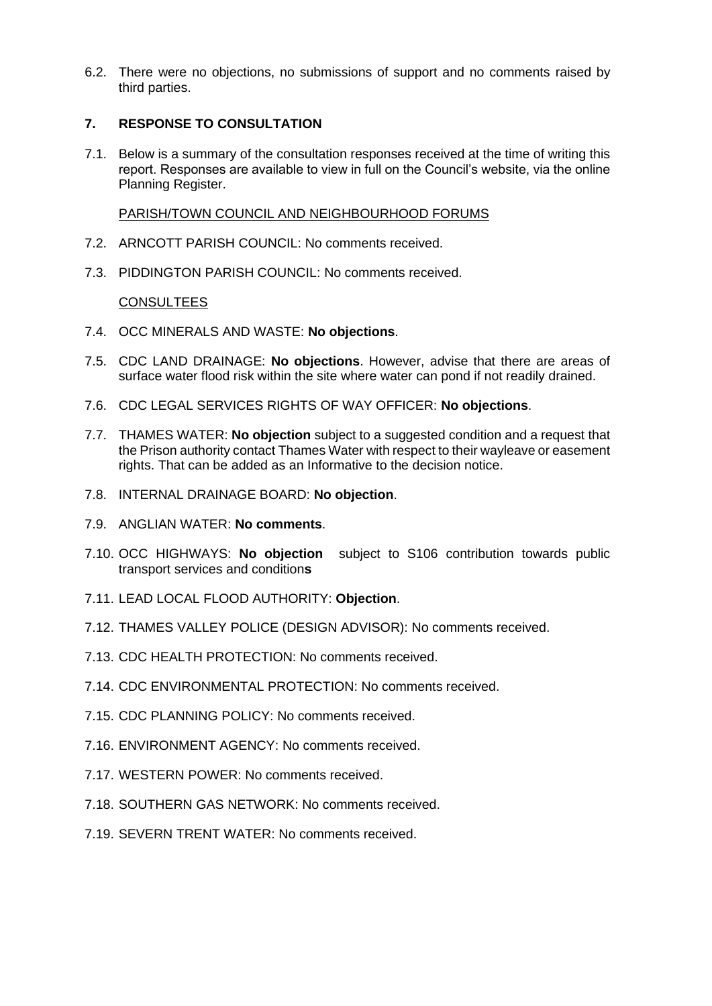6.2. There were no objections, no submissions of support and no comments raised by third parties.

## **7. RESPONSE TO CONSULTATION**

7.1. Below is a summary of the consultation responses received at the time of writing this report. Responses are available to view in full on the Council's website, via the online Planning Register.

## PARISH/TOWN COUNCIL AND NEIGHBOURHOOD FORUMS

- 7.2. ARNCOTT PARISH COUNCIL: No comments received.
- 7.3. PIDDINGTON PARISH COUNCIL: No comments received.

### **CONSULTEES**

- 7.4. OCC MINERALS AND WASTE: **No objections**.
- 7.5. CDC LAND DRAINAGE: **No objections**. However, advise that there are areas of surface water flood risk within the site where water can pond if not readily drained.
- 7.6. CDC LEGAL SERVICES RIGHTS OF WAY OFFICER: **No objections**.
- 7.7. THAMES WATER: **No objection** subject to a suggested condition and a request that the Prison authority contact Thames Water with respect to their wayleave or easement rights. That can be added as an Informative to the decision notice.
- 7.8. INTERNAL DRAINAGE BOARD: **No objection**.
- 7.9. ANGLIAN WATER: **No comments**.
- 7.10. OCC HIGHWAYS: **No objection** subject to S106 contribution towards public transport services and condition**s**
- 7.11. LEAD LOCAL FLOOD AUTHORITY: **Objection**.
- 7.12. THAMES VALLEY POLICE (DESIGN ADVISOR): No comments received.
- 7.13. CDC HEALTH PROTECTION: No comments received.
- 7.14. CDC ENVIRONMENTAL PROTECTION: No comments received.
- 7.15. CDC PLANNING POLICY: No comments received.
- 7.16. ENVIRONMENT AGENCY: No comments received.
- 7.17. WESTERN POWER: No comments received.
- 7.18. SOUTHERN GAS NETWORK: No comments received.
- 7.19. SEVERN TRENT WATER: No comments received.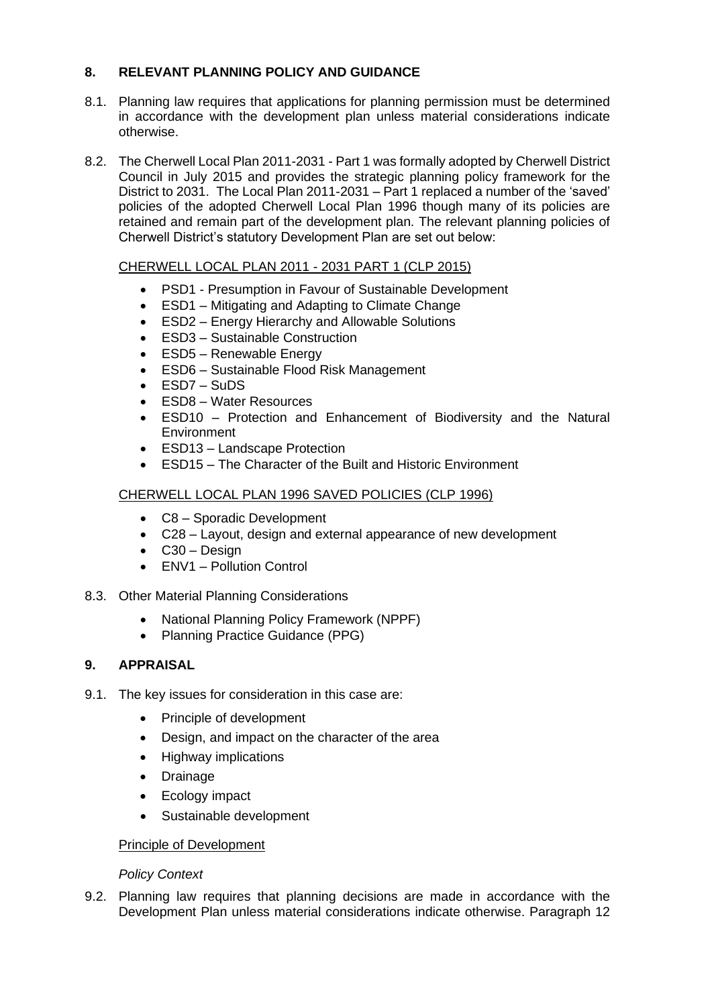# **8. RELEVANT PLANNING POLICY AND GUIDANCE**

- 8.1. Planning law requires that applications for planning permission must be determined in accordance with the development plan unless material considerations indicate otherwise.
- 8.2. The Cherwell Local Plan 2011-2031 Part 1 was formally adopted by Cherwell District Council in July 2015 and provides the strategic planning policy framework for the District to 2031. The Local Plan 2011-2031 – Part 1 replaced a number of the 'saved' policies of the adopted Cherwell Local Plan 1996 though many of its policies are retained and remain part of the development plan. The relevant planning policies of Cherwell District's statutory Development Plan are set out below:

# CHERWELL LOCAL PLAN 2011 - 2031 PART 1 (CLP 2015)

- PSD1 Presumption in Favour of Sustainable Development
- ESD1 Mitigating and Adapting to Climate Change
- ESD2 Energy Hierarchy and Allowable Solutions
- ESD3 Sustainable Construction
- ESD5 Renewable Energy
- ESD6 Sustainable Flood Risk Management
- ESD7 SuDS
- ESD8 Water Resources
- ESD10 Protection and Enhancement of Biodiversity and the Natural **Environment**
- ESD13 Landscape Protection
- ESD15 The Character of the Built and Historic Environment

# CHERWELL LOCAL PLAN 1996 SAVED POLICIES (CLP 1996)

- C8 Sporadic Development
- C28 Layout, design and external appearance of new development
- C30 Design
- ENV1 Pollution Control
- 8.3. Other Material Planning Considerations
	- National Planning Policy Framework (NPPF)
	- Planning Practice Guidance (PPG)

# **9. APPRAISAL**

- 9.1. The key issues for consideration in this case are:
	- Principle of development
	- Design, and impact on the character of the area
	- Highway implications
	- Drainage
	- Ecology impact
	- Sustainable development

## Principle of Development

## *Policy Context*

9.2. Planning law requires that planning decisions are made in accordance with the Development Plan unless material considerations indicate otherwise. Paragraph 12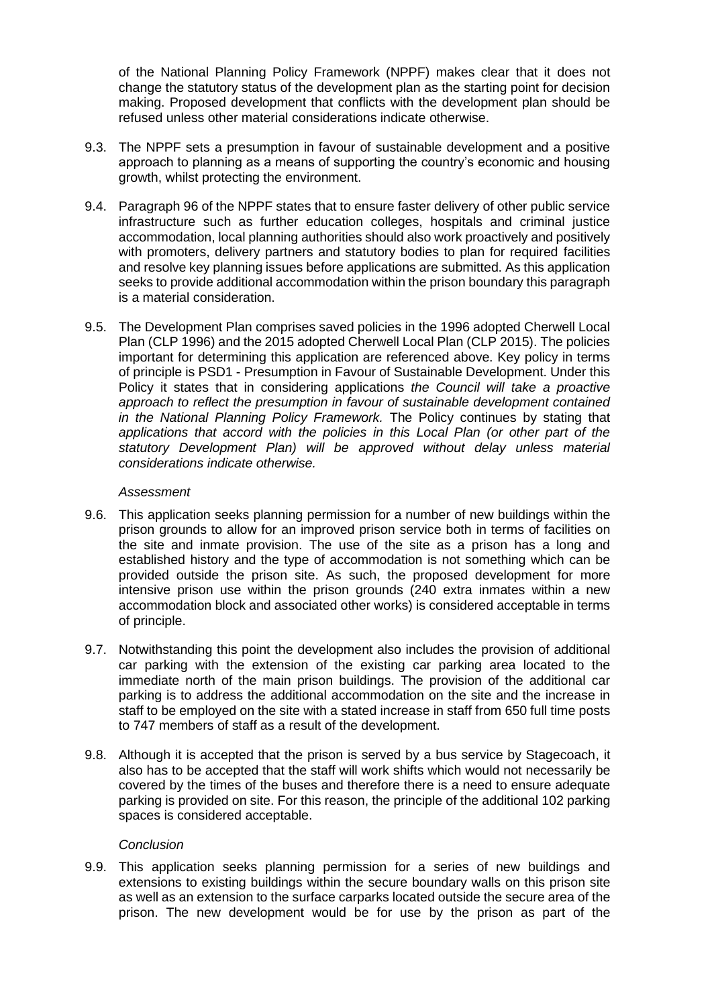of the National Planning Policy Framework (NPPF) makes clear that it does not change the statutory status of the development plan as the starting point for decision making. Proposed development that conflicts with the development plan should be refused unless other material considerations indicate otherwise.

- 9.3. The NPPF sets a presumption in favour of sustainable development and a positive approach to planning as a means of supporting the country's economic and housing growth, whilst protecting the environment.
- 9.4. Paragraph 96 of the NPPF states that to ensure faster delivery of other public service infrastructure such as further education colleges, hospitals and criminal justice accommodation, local planning authorities should also work proactively and positively with promoters, delivery partners and statutory bodies to plan for required facilities and resolve key planning issues before applications are submitted. As this application seeks to provide additional accommodation within the prison boundary this paragraph is a material consideration.
- 9.5. The Development Plan comprises saved policies in the 1996 adopted Cherwell Local Plan (CLP 1996) and the 2015 adopted Cherwell Local Plan (CLP 2015). The policies important for determining this application are referenced above. Key policy in terms of principle is PSD1 - Presumption in Favour of Sustainable Development. Under this Policy it states that in considering applications *the Council will take a proactive approach to reflect the presumption in favour of sustainable development contained in the National Planning Policy Framework.* The Policy continues by stating that *applications that accord with the policies in this Local Plan (or other part of the statutory Development Plan) will be approved without delay unless material considerations indicate otherwise.*

### *Assessment*

- 9.6. This application seeks planning permission for a number of new buildings within the prison grounds to allow for an improved prison service both in terms of facilities on the site and inmate provision. The use of the site as a prison has a long and established history and the type of accommodation is not something which can be provided outside the prison site. As such, the proposed development for more intensive prison use within the prison grounds (240 extra inmates within a new accommodation block and associated other works) is considered acceptable in terms of principle.
- 9.7. Notwithstanding this point the development also includes the provision of additional car parking with the extension of the existing car parking area located to the immediate north of the main prison buildings. The provision of the additional car parking is to address the additional accommodation on the site and the increase in staff to be employed on the site with a stated increase in staff from 650 full time posts to 747 members of staff as a result of the development.
- 9.8. Although it is accepted that the prison is served by a bus service by Stagecoach, it also has to be accepted that the staff will work shifts which would not necessarily be covered by the times of the buses and therefore there is a need to ensure adequate parking is provided on site. For this reason, the principle of the additional 102 parking spaces is considered acceptable.

#### *Conclusion*

9.9. This application seeks planning permission for a series of new buildings and extensions to existing buildings within the secure boundary walls on this prison site as well as an extension to the surface carparks located outside the secure area of the prison. The new development would be for use by the prison as part of the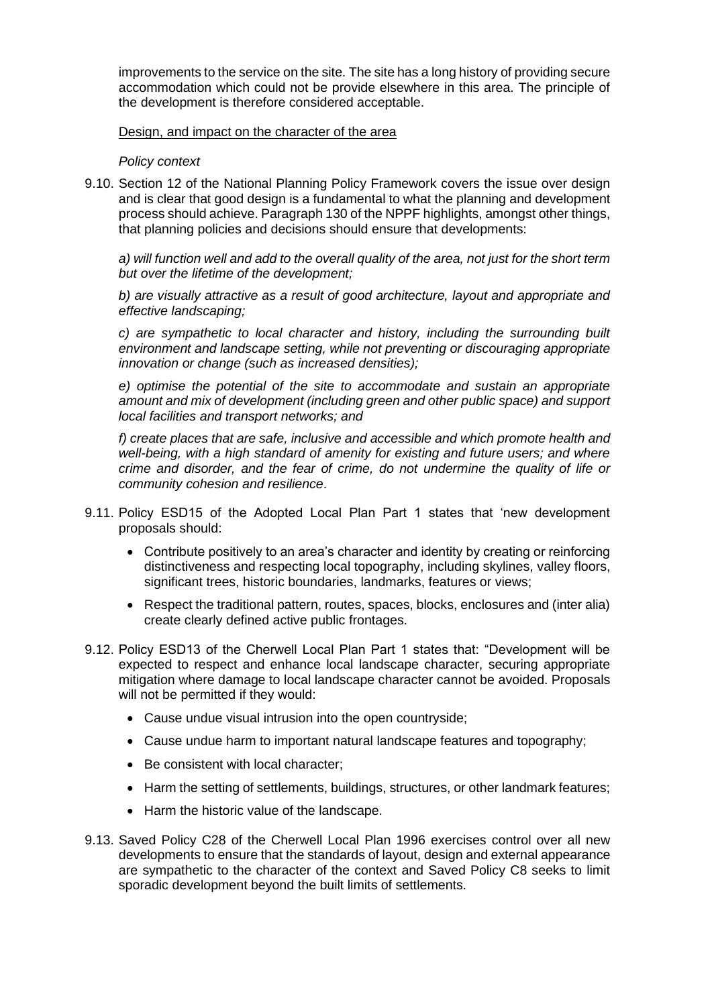improvements to the service on the site. The site has a long history of providing secure accommodation which could not be provide elsewhere in this area. The principle of the development is therefore considered acceptable.

#### Design, and impact on the character of the area

### *Policy context*

9.10. Section 12 of the National Planning Policy Framework covers the issue over design and is clear that good design is a fundamental to what the planning and development process should achieve. Paragraph 130 of the NPPF highlights, amongst other things, that planning policies and decisions should ensure that developments:

*a) will function well and add to the overall quality of the area, not just for the short term but over the lifetime of the development;* 

*b) are visually attractive as a result of good architecture, layout and appropriate and effective landscaping;* 

*c) are sympathetic to local character and history, including the surrounding built environment and landscape setting, while not preventing or discouraging appropriate innovation or change (such as increased densities);* 

*e) optimise the potential of the site to accommodate and sustain an appropriate amount and mix of development (including green and other public space) and support local facilities and transport networks; and* 

*f) create places that are safe, inclusive and accessible and which promote health and well-being, with a high standard of amenity for existing and future users; and where crime and disorder, and the fear of crime, do not undermine the quality of life or community cohesion and resilience*.

- 9.11. Policy ESD15 of the Adopted Local Plan Part 1 states that 'new development proposals should:
	- Contribute positively to an area's character and identity by creating or reinforcing distinctiveness and respecting local topography, including skylines, valley floors, significant trees, historic boundaries, landmarks, features or views;
	- Respect the traditional pattern, routes, spaces, blocks, enclosures and (inter alia) create clearly defined active public frontages.
- 9.12. Policy ESD13 of the Cherwell Local Plan Part 1 states that: "Development will be expected to respect and enhance local landscape character, securing appropriate mitigation where damage to local landscape character cannot be avoided. Proposals will not be permitted if they would:
	- Cause undue visual intrusion into the open countryside;
	- Cause undue harm to important natural landscape features and topography;
	- Be consistent with local character;
	- Harm the setting of settlements, buildings, structures, or other landmark features;
	- Harm the historic value of the landscape.
- 9.13. Saved Policy C28 of the Cherwell Local Plan 1996 exercises control over all new developments to ensure that the standards of layout, design and external appearance are sympathetic to the character of the context and Saved Policy C8 seeks to limit sporadic development beyond the built limits of settlements.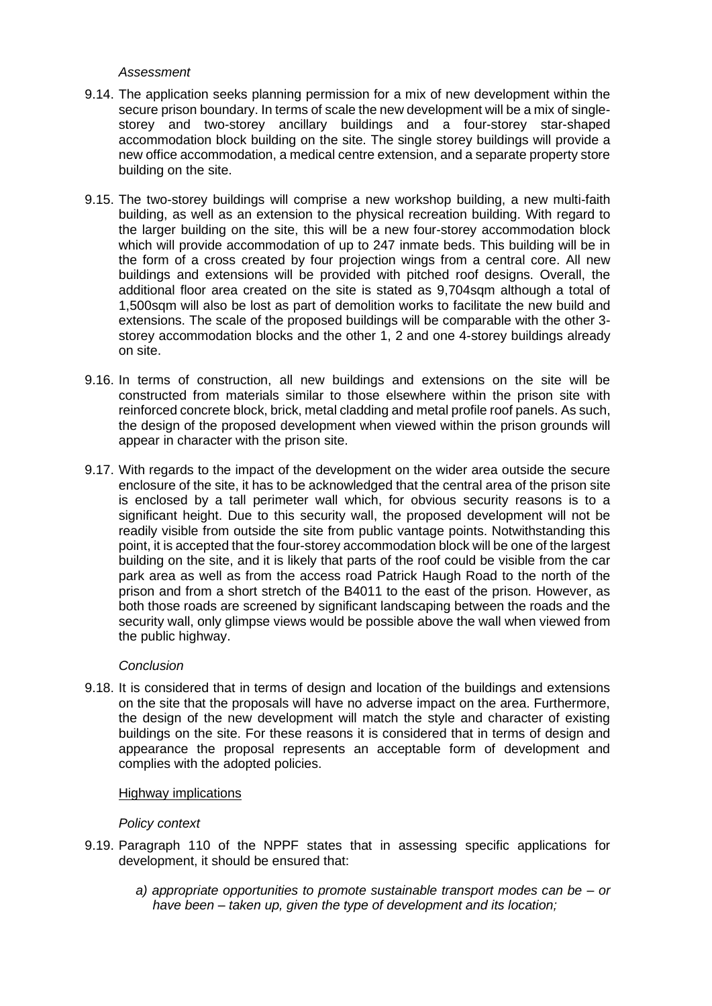#### *Assessment*

- 9.14. The application seeks planning permission for a mix of new development within the secure prison boundary. In terms of scale the new development will be a mix of singlestorey and two-storey ancillary buildings and a four-storey star-shaped accommodation block building on the site. The single storey buildings will provide a new office accommodation, a medical centre extension, and a separate property store building on the site.
- 9.15. The two-storey buildings will comprise a new workshop building, a new multi-faith building, as well as an extension to the physical recreation building. With regard to the larger building on the site, this will be a new four-storey accommodation block which will provide accommodation of up to 247 inmate beds. This building will be in the form of a cross created by four projection wings from a central core. All new buildings and extensions will be provided with pitched roof designs. Overall, the additional floor area created on the site is stated as 9,704sqm although a total of 1,500sqm will also be lost as part of demolition works to facilitate the new build and extensions. The scale of the proposed buildings will be comparable with the other 3 storey accommodation blocks and the other 1, 2 and one 4-storey buildings already on site.
- 9.16. In terms of construction, all new buildings and extensions on the site will be constructed from materials similar to those elsewhere within the prison site with reinforced concrete block, brick, metal cladding and metal profile roof panels. As such, the design of the proposed development when viewed within the prison grounds will appear in character with the prison site.
- 9.17. With regards to the impact of the development on the wider area outside the secure enclosure of the site, it has to be acknowledged that the central area of the prison site is enclosed by a tall perimeter wall which, for obvious security reasons is to a significant height. Due to this security wall, the proposed development will not be readily visible from outside the site from public vantage points. Notwithstanding this point, it is accepted that the four-storey accommodation block will be one of the largest building on the site, and it is likely that parts of the roof could be visible from the car park area as well as from the access road Patrick Haugh Road to the north of the prison and from a short stretch of the B4011 to the east of the prison. However, as both those roads are screened by significant landscaping between the roads and the security wall, only glimpse views would be possible above the wall when viewed from the public highway.

## *Conclusion*

9.18. It is considered that in terms of design and location of the buildings and extensions on the site that the proposals will have no adverse impact on the area. Furthermore, the design of the new development will match the style and character of existing buildings on the site. For these reasons it is considered that in terms of design and appearance the proposal represents an acceptable form of development and complies with the adopted policies.

#### Highway implications

## *Policy context*

- 9.19. Paragraph 110 of the NPPF states that in assessing specific applications for development, it should be ensured that:
	- *a) appropriate opportunities to promote sustainable transport modes can be – or have been – taken up, given the type of development and its location;*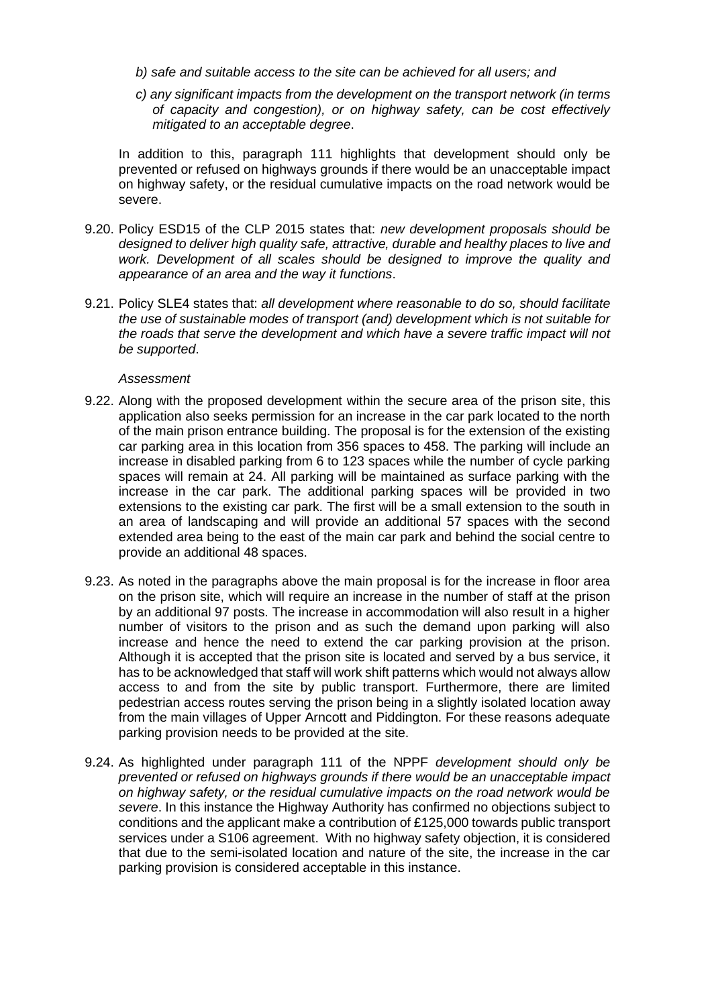- *b) safe and suitable access to the site can be achieved for all users; and*
- *c) any significant impacts from the development on the transport network (in terms of capacity and congestion), or on highway safety, can be cost effectively mitigated to an acceptable degree*.

In addition to this, paragraph 111 highlights that development should only be prevented or refused on highways grounds if there would be an unacceptable impact on highway safety, or the residual cumulative impacts on the road network would be severe.

- 9.20. Policy ESD15 of the CLP 2015 states that: *new development proposals should be designed to deliver high quality safe, attractive, durable and healthy places to live and work. Development of all scales should be designed to improve the quality and appearance of an area and the way it functions*.
- 9.21. Policy SLE4 states that: *all development where reasonable to do so, should facilitate the use of sustainable modes of transport (and) development which is not suitable for the roads that serve the development and which have a severe traffic impact will not be supported*.

#### *Assessment*

- 9.22. Along with the proposed development within the secure area of the prison site, this application also seeks permission for an increase in the car park located to the north of the main prison entrance building. The proposal is for the extension of the existing car parking area in this location from 356 spaces to 458. The parking will include an increase in disabled parking from 6 to 123 spaces while the number of cycle parking spaces will remain at 24. All parking will be maintained as surface parking with the increase in the car park. The additional parking spaces will be provided in two extensions to the existing car park. The first will be a small extension to the south in an area of landscaping and will provide an additional 57 spaces with the second extended area being to the east of the main car park and behind the social centre to provide an additional 48 spaces.
- 9.23. As noted in the paragraphs above the main proposal is for the increase in floor area on the prison site, which will require an increase in the number of staff at the prison by an additional 97 posts. The increase in accommodation will also result in a higher number of visitors to the prison and as such the demand upon parking will also increase and hence the need to extend the car parking provision at the prison. Although it is accepted that the prison site is located and served by a bus service, it has to be acknowledged that staff will work shift patterns which would not always allow access to and from the site by public transport. Furthermore, there are limited pedestrian access routes serving the prison being in a slightly isolated location away from the main villages of Upper Arncott and Piddington. For these reasons adequate parking provision needs to be provided at the site.
- 9.24. As highlighted under paragraph 111 of the NPPF *development should only be prevented or refused on highways grounds if there would be an unacceptable impact on highway safety, or the residual cumulative impacts on the road network would be severe*. In this instance the Highway Authority has confirmed no objections subject to conditions and the applicant make a contribution of £125,000 towards public transport services under a S106 agreement. With no highway safety objection, it is considered that due to the semi-isolated location and nature of the site, the increase in the car parking provision is considered acceptable in this instance.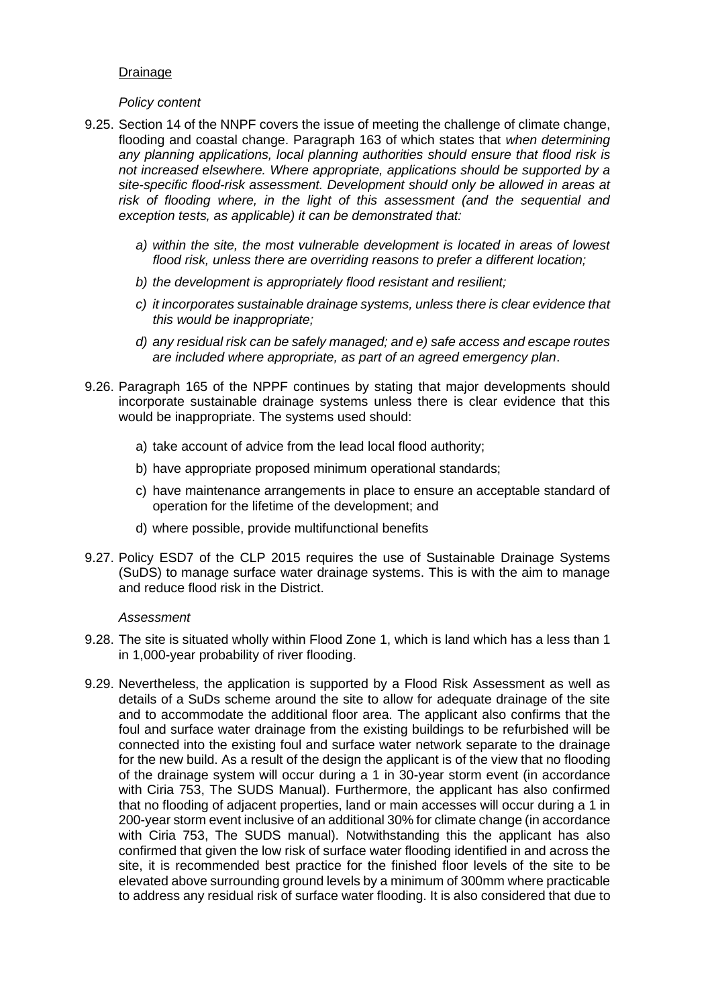## Drainage

### *Policy content*

- 9.25. Section 14 of the NNPF covers the issue of meeting the challenge of climate change, flooding and coastal change. Paragraph 163 of which states that *when determining any planning applications, local planning authorities should ensure that flood risk is not increased elsewhere. Where appropriate, applications should be supported by a site-specific flood-risk assessment. Development should only be allowed in areas at risk of flooding where, in the light of this assessment (and the sequential and exception tests, as applicable) it can be demonstrated that:* 
	- *a) within the site, the most vulnerable development is located in areas of lowest flood risk, unless there are overriding reasons to prefer a different location;*
	- *b) the development is appropriately flood resistant and resilient;*
	- *c) it incorporates sustainable drainage systems, unless there is clear evidence that this would be inappropriate;*
	- *d) any residual risk can be safely managed; and e) safe access and escape routes are included where appropriate, as part of an agreed emergency plan*.
- 9.26. Paragraph 165 of the NPPF continues by stating that major developments should incorporate sustainable drainage systems unless there is clear evidence that this would be inappropriate. The systems used should:
	- a) take account of advice from the lead local flood authority;
	- b) have appropriate proposed minimum operational standards;
	- c) have maintenance arrangements in place to ensure an acceptable standard of operation for the lifetime of the development; and
	- d) where possible, provide multifunctional benefits
- 9.27. Policy ESD7 of the CLP 2015 requires the use of Sustainable Drainage Systems (SuDS) to manage surface water drainage systems. This is with the aim to manage and reduce flood risk in the District.

#### *Assessment*

- 9.28. The site is situated wholly within Flood Zone 1, which is land which has a less than 1 in 1,000-year probability of river flooding.
- 9.29. Nevertheless, the application is supported by a Flood Risk Assessment as well as details of a SuDs scheme around the site to allow for adequate drainage of the site and to accommodate the additional floor area. The applicant also confirms that the foul and surface water drainage from the existing buildings to be refurbished will be connected into the existing foul and surface water network separate to the drainage for the new build. As a result of the design the applicant is of the view that no flooding of the drainage system will occur during a 1 in 30-year storm event (in accordance with Ciria 753, The SUDS Manual). Furthermore, the applicant has also confirmed that no flooding of adjacent properties, land or main accesses will occur during a 1 in 200-year storm event inclusive of an additional 30% for climate change (in accordance with Ciria 753, The SUDS manual). Notwithstanding this the applicant has also confirmed that given the low risk of surface water flooding identified in and across the site, it is recommended best practice for the finished floor levels of the site to be elevated above surrounding ground levels by a minimum of 300mm where practicable to address any residual risk of surface water flooding. It is also considered that due to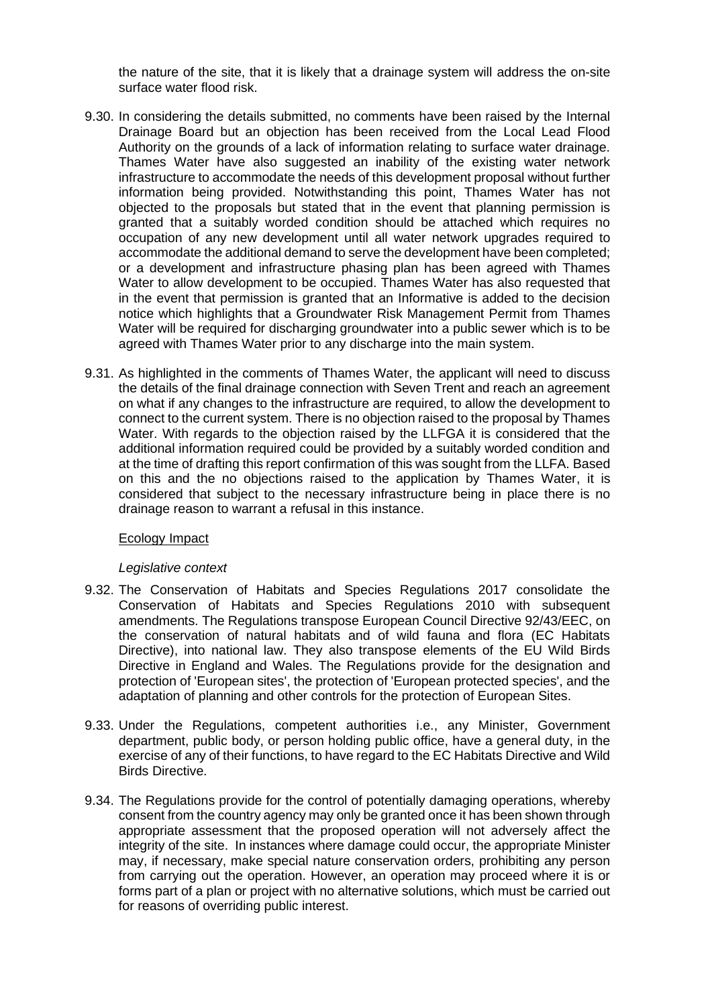the nature of the site, that it is likely that a drainage system will address the on-site surface water flood risk.

- 9.30. In considering the details submitted, no comments have been raised by the Internal Drainage Board but an objection has been received from the Local Lead Flood Authority on the grounds of a lack of information relating to surface water drainage. Thames Water have also suggested an inability of the existing water network infrastructure to accommodate the needs of this development proposal without further information being provided. Notwithstanding this point, Thames Water has not objected to the proposals but stated that in the event that planning permission is granted that a suitably worded condition should be attached which requires no occupation of any new development until all water network upgrades required to accommodate the additional demand to serve the development have been completed; or a development and infrastructure phasing plan has been agreed with Thames Water to allow development to be occupied. Thames Water has also requested that in the event that permission is granted that an Informative is added to the decision notice which highlights that a Groundwater Risk Management Permit from Thames Water will be required for discharging groundwater into a public sewer which is to be agreed with Thames Water prior to any discharge into the main system.
- 9.31. As highlighted in the comments of Thames Water, the applicant will need to discuss the details of the final drainage connection with Seven Trent and reach an agreement on what if any changes to the infrastructure are required, to allow the development to connect to the current system. There is no objection raised to the proposal by Thames Water. With regards to the objection raised by the LLFGA it is considered that the additional information required could be provided by a suitably worded condition and at the time of drafting this report confirmation of this was sought from the LLFA. Based on this and the no objections raised to the application by Thames Water, it is considered that subject to the necessary infrastructure being in place there is no drainage reason to warrant a refusal in this instance.

#### Ecology Impact

#### *Legislative context*

- 9.32. The Conservation of Habitats and Species Regulations 2017 consolidate the Conservation of Habitats and Species Regulations 2010 with subsequent amendments. The Regulations transpose European Council Directive 92/43/EEC, on the conservation of natural habitats and of wild fauna and flora (EC Habitats Directive), into national law. They also transpose elements of the EU Wild Birds Directive in England and Wales. The Regulations provide for the designation and protection of 'European sites', the protection of 'European protected species', and the adaptation of planning and other controls for the protection of European Sites.
- 9.33. Under the Regulations, competent authorities i.e., any Minister, Government department, public body, or person holding public office, have a general duty, in the exercise of any of their functions, to have regard to the EC Habitats Directive and Wild Birds Directive.
- 9.34. The Regulations provide for the control of potentially damaging operations, whereby consent from the country agency may only be granted once it has been shown through appropriate assessment that the proposed operation will not adversely affect the integrity of the site. In instances where damage could occur, the appropriate Minister may, if necessary, make special nature conservation orders, prohibiting any person from carrying out the operation. However, an operation may proceed where it is or forms part of a plan or project with no alternative solutions, which must be carried out for reasons of overriding public interest.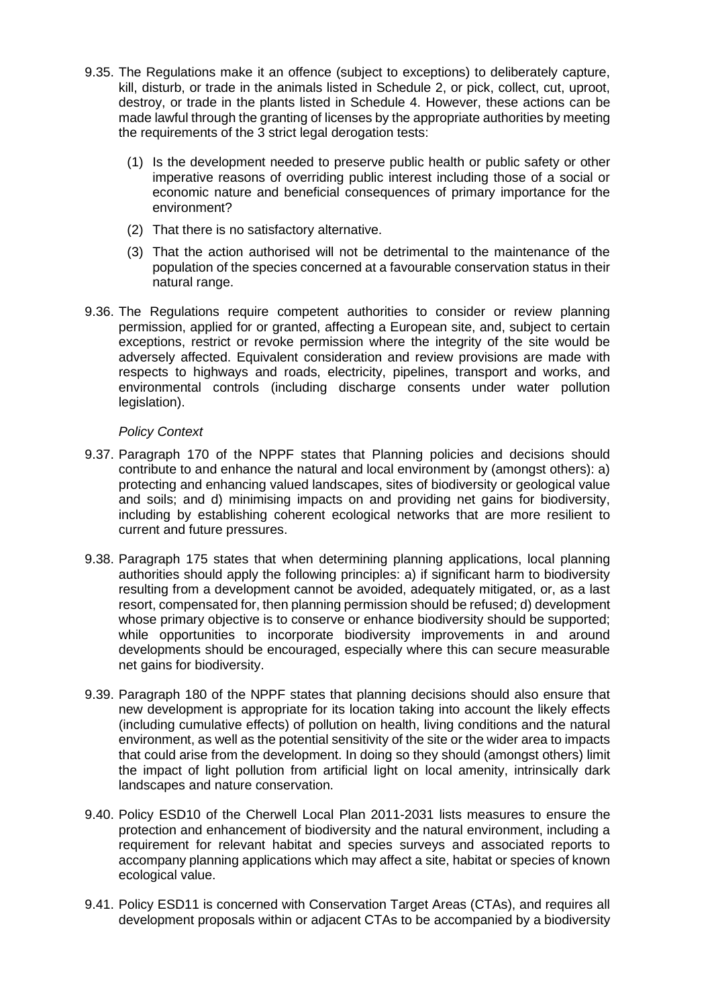- 9.35. The Regulations make it an offence (subject to exceptions) to deliberately capture, kill, disturb, or trade in the animals listed in Schedule 2, or pick, collect, cut, uproot, destroy, or trade in the plants listed in Schedule 4. However, these actions can be made lawful through the granting of licenses by the appropriate authorities by meeting the requirements of the 3 strict legal derogation tests:
	- (1) Is the development needed to preserve public health or public safety or other imperative reasons of overriding public interest including those of a social or economic nature and beneficial consequences of primary importance for the environment?
	- (2) That there is no satisfactory alternative.
	- (3) That the action authorised will not be detrimental to the maintenance of the population of the species concerned at a favourable conservation status in their natural range.
- 9.36. The Regulations require competent authorities to consider or review planning permission, applied for or granted, affecting a European site, and, subject to certain exceptions, restrict or revoke permission where the integrity of the site would be adversely affected. Equivalent consideration and review provisions are made with respects to highways and roads, electricity, pipelines, transport and works, and environmental controls (including discharge consents under water pollution legislation).

#### *Policy Context*

- 9.37. Paragraph 170 of the NPPF states that Planning policies and decisions should contribute to and enhance the natural and local environment by (amongst others): a) protecting and enhancing valued landscapes, sites of biodiversity or geological value and soils; and d) minimising impacts on and providing net gains for biodiversity, including by establishing coherent ecological networks that are more resilient to current and future pressures.
- 9.38. Paragraph 175 states that when determining planning applications, local planning authorities should apply the following principles: a) if significant harm to biodiversity resulting from a development cannot be avoided, adequately mitigated, or, as a last resort, compensated for, then planning permission should be refused; d) development whose primary objective is to conserve or enhance biodiversity should be supported; while opportunities to incorporate biodiversity improvements in and around developments should be encouraged, especially where this can secure measurable net gains for biodiversity.
- 9.39. Paragraph 180 of the NPPF states that planning decisions should also ensure that new development is appropriate for its location taking into account the likely effects (including cumulative effects) of pollution on health, living conditions and the natural environment, as well as the potential sensitivity of the site or the wider area to impacts that could arise from the development. In doing so they should (amongst others) limit the impact of light pollution from artificial light on local amenity, intrinsically dark landscapes and nature conservation.
- 9.40. Policy ESD10 of the Cherwell Local Plan 2011-2031 lists measures to ensure the protection and enhancement of biodiversity and the natural environment, including a requirement for relevant habitat and species surveys and associated reports to accompany planning applications which may affect a site, habitat or species of known ecological value.
- 9.41. Policy ESD11 is concerned with Conservation Target Areas (CTAs), and requires all development proposals within or adjacent CTAs to be accompanied by a biodiversity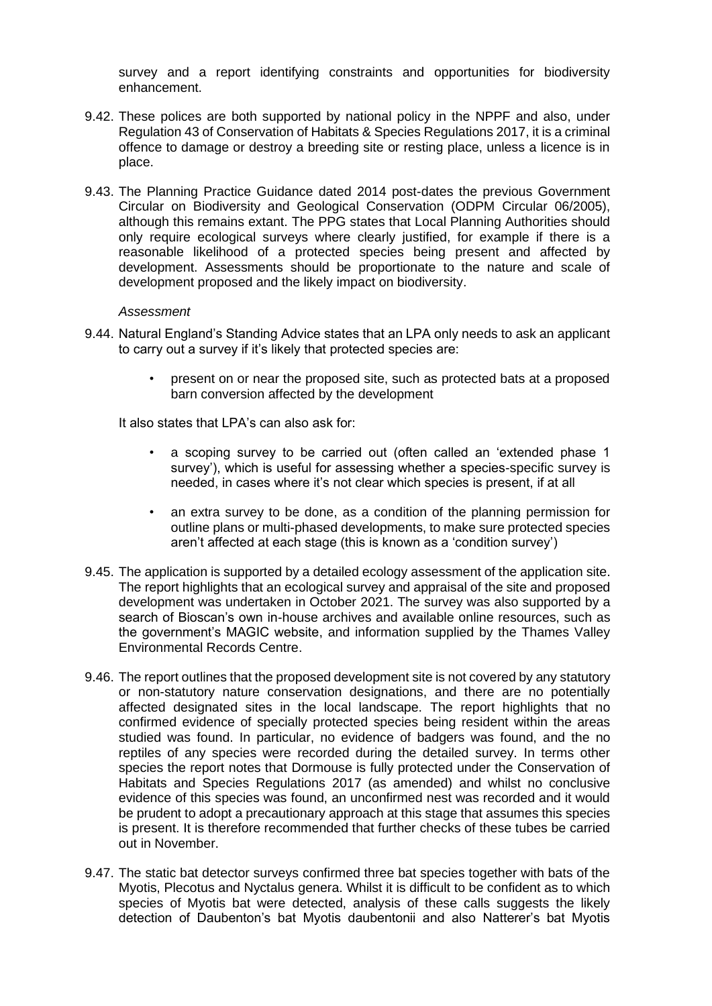survey and a report identifying constraints and opportunities for biodiversity enhancement.

- 9.42. These polices are both supported by national policy in the NPPF and also, under Regulation 43 of Conservation of Habitats & Species Regulations 2017, it is a criminal offence to damage or destroy a breeding site or resting place, unless a licence is in place.
- 9.43. The Planning Practice Guidance dated 2014 post-dates the previous Government Circular on Biodiversity and Geological Conservation (ODPM Circular 06/2005), although this remains extant. The PPG states that Local Planning Authorities should only require ecological surveys where clearly justified, for example if there is a reasonable likelihood of a protected species being present and affected by development. Assessments should be proportionate to the nature and scale of development proposed and the likely impact on biodiversity.

### *Assessment*

- 9.44. Natural England's Standing Advice states that an LPA only needs to ask an applicant to carry out a survey if it's likely that protected species are:
	- present on or near the proposed site, such as protected bats at a proposed barn conversion affected by the development

It also states that LPA's can also ask for:

- a scoping survey to be carried out (often called an 'extended phase 1 survey'), which is useful for assessing whether a species-specific survey is needed, in cases where it's not clear which species is present, if at all
- an extra survey to be done, as a condition of the planning permission for outline plans or multi-phased developments, to make sure protected species aren't affected at each stage (this is known as a 'condition survey')
- 9.45. The application is supported by a detailed ecology assessment of the application site. The report highlights that an ecological survey and appraisal of the site and proposed development was undertaken in October 2021. The survey was also supported by a search of Bioscan's own in-house archives and available online resources, such as the government's MAGIC website, and information supplied by the Thames Valley Environmental Records Centre.
- 9.46. The report outlines that the proposed development site is not covered by any statutory or non-statutory nature conservation designations, and there are no potentially affected designated sites in the local landscape. The report highlights that no confirmed evidence of specially protected species being resident within the areas studied was found. In particular, no evidence of badgers was found, and the no reptiles of any species were recorded during the detailed survey. In terms other species the report notes that Dormouse is fully protected under the Conservation of Habitats and Species Regulations 2017 (as amended) and whilst no conclusive evidence of this species was found, an unconfirmed nest was recorded and it would be prudent to adopt a precautionary approach at this stage that assumes this species is present. It is therefore recommended that further checks of these tubes be carried out in November.
- 9.47. The static bat detector surveys confirmed three bat species together with bats of the Myotis, Plecotus and Nyctalus genera. Whilst it is difficult to be confident as to which species of Myotis bat were detected, analysis of these calls suggests the likely detection of Daubenton's bat Myotis daubentonii and also Natterer's bat Myotis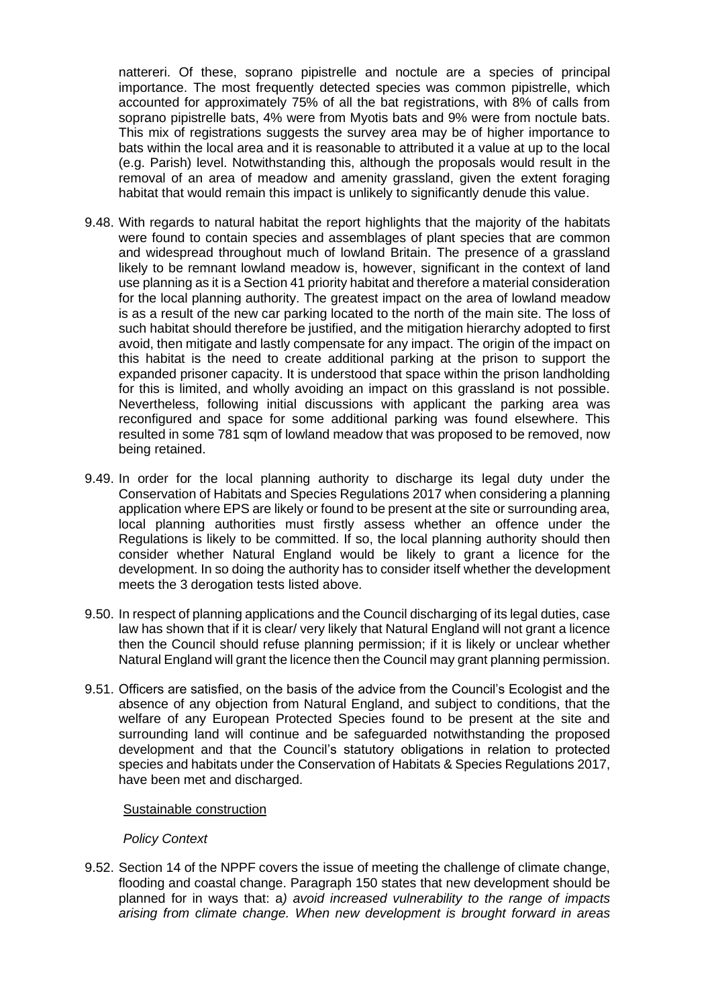nattereri. Of these, soprano pipistrelle and noctule are a species of principal importance. The most frequently detected species was common pipistrelle, which accounted for approximately 75% of all the bat registrations, with 8% of calls from soprano pipistrelle bats, 4% were from Myotis bats and 9% were from noctule bats. This mix of registrations suggests the survey area may be of higher importance to bats within the local area and it is reasonable to attributed it a value at up to the local (e.g. Parish) level. Notwithstanding this, although the proposals would result in the removal of an area of meadow and amenity grassland, given the extent foraging habitat that would remain this impact is unlikely to significantly denude this value.

- 9.48. With regards to natural habitat the report highlights that the majority of the habitats were found to contain species and assemblages of plant species that are common and widespread throughout much of lowland Britain. The presence of a grassland likely to be remnant lowland meadow is, however, significant in the context of land use planning as it is a Section 41 priority habitat and therefore a material consideration for the local planning authority. The greatest impact on the area of lowland meadow is as a result of the new car parking located to the north of the main site. The loss of such habitat should therefore be justified, and the mitigation hierarchy adopted to first avoid, then mitigate and lastly compensate for any impact. The origin of the impact on this habitat is the need to create additional parking at the prison to support the expanded prisoner capacity. It is understood that space within the prison landholding for this is limited, and wholly avoiding an impact on this grassland is not possible. Nevertheless, following initial discussions with applicant the parking area was reconfigured and space for some additional parking was found elsewhere. This resulted in some 781 sqm of lowland meadow that was proposed to be removed, now being retained.
- 9.49. In order for the local planning authority to discharge its legal duty under the Conservation of Habitats and Species Regulations 2017 when considering a planning application where EPS are likely or found to be present at the site or surrounding area, local planning authorities must firstly assess whether an offence under the Regulations is likely to be committed. If so, the local planning authority should then consider whether Natural England would be likely to grant a licence for the development. In so doing the authority has to consider itself whether the development meets the 3 derogation tests listed above.
- 9.50. In respect of planning applications and the Council discharging of its legal duties, case law has shown that if it is clear/ very likely that Natural England will not grant a licence then the Council should refuse planning permission; if it is likely or unclear whether Natural England will grant the licence then the Council may grant planning permission.
- 9.51. Officers are satisfied, on the basis of the advice from the Council's Ecologist and the absence of any objection from Natural England, and subject to conditions, that the welfare of any European Protected Species found to be present at the site and surrounding land will continue and be safeguarded notwithstanding the proposed development and that the Council's statutory obligations in relation to protected species and habitats under the Conservation of Habitats & Species Regulations 2017, have been met and discharged.

#### Sustainable construction

#### *Policy Context*

9.52. Section 14 of the NPPF covers the issue of meeting the challenge of climate change, flooding and coastal change. Paragraph 150 states that new development should be planned for in ways that: a*) avoid increased vulnerability to the range of impacts arising from climate change. When new development is brought forward in areas*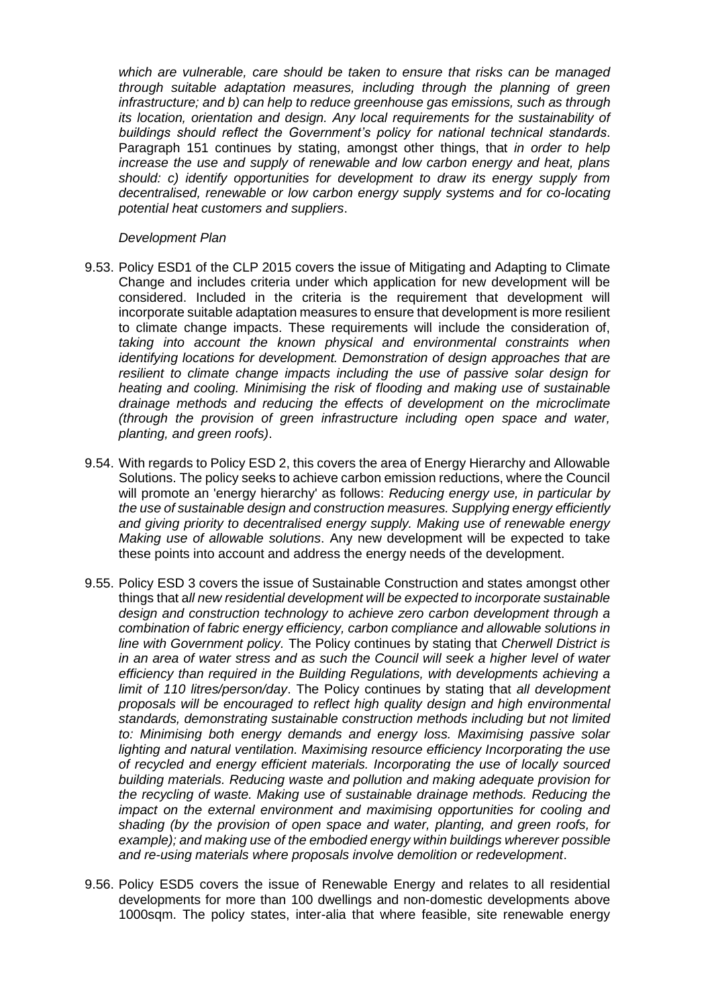*which are vulnerable, care should be taken to ensure that risks can be managed through suitable adaptation measures, including through the planning of green infrastructure; and b) can help to reduce greenhouse gas emissions, such as through its location, orientation and design. Any local requirements for the sustainability of buildings should reflect the Government's policy for national technical standards*. Paragraph 151 continues by stating, amongst other things, that *in order to help increase the use and supply of renewable and low carbon energy and heat, plans should: c) identify opportunities for development to draw its energy supply from decentralised, renewable or low carbon energy supply systems and for co-locating potential heat customers and suppliers*.

### *Development Plan*

- 9.53. Policy ESD1 of the CLP 2015 covers the issue of Mitigating and Adapting to Climate Change and includes criteria under which application for new development will be considered. Included in the criteria is the requirement that development will incorporate suitable adaptation measures to ensure that development is more resilient to climate change impacts. These requirements will include the consideration of, *taking into account the known physical and environmental constraints when identifying locations for development. Demonstration of design approaches that are resilient to climate change impacts including the use of passive solar design for heating and cooling. Minimising the risk of flooding and making use of sustainable drainage methods and reducing the effects of development on the microclimate (through the provision of green infrastructure including open space and water, planting, and green roofs)*.
- 9.54. With regards to Policy ESD 2, this covers the area of Energy Hierarchy and Allowable Solutions. The policy seeks to achieve carbon emission reductions, where the Council will promote an 'energy hierarchy' as follows: *Reducing energy use, in particular by the use of sustainable design and construction measures. Supplying energy efficiently and giving priority to decentralised energy supply. Making use of renewable energy Making use of allowable solutions*. Any new development will be expected to take these points into account and address the energy needs of the development.
- 9.55. Policy ESD 3 covers the issue of Sustainable Construction and states amongst other things that a*ll new residential development will be expected to incorporate sustainable design and construction technology to achieve zero carbon development through a combination of fabric energy efficiency, carbon compliance and allowable solutions in line with Government policy.* The Policy continues by stating that *Cherwell District is in an area of water stress and as such the Council will seek a higher level of water efficiency than required in the Building Regulations, with developments achieving a limit of 110 litres/person/day*. The Policy continues by stating that *all development proposals will be encouraged to reflect high quality design and high environmental standards, demonstrating sustainable construction methods including but not limited to: Minimising both energy demands and energy loss. Maximising passive solar lighting and natural ventilation. Maximising resource efficiency Incorporating the use of recycled and energy efficient materials. Incorporating the use of locally sourced building materials. Reducing waste and pollution and making adequate provision for the recycling of waste. Making use of sustainable drainage methods. Reducing the impact on the external environment and maximising opportunities for cooling and shading (by the provision of open space and water, planting, and green roofs, for example); and making use of the embodied energy within buildings wherever possible and re-using materials where proposals involve demolition or redevelopment*.
- 9.56. Policy ESD5 covers the issue of Renewable Energy and relates to all residential developments for more than 100 dwellings and non-domestic developments above 1000sqm. The policy states, inter-alia that where feasible, site renewable energy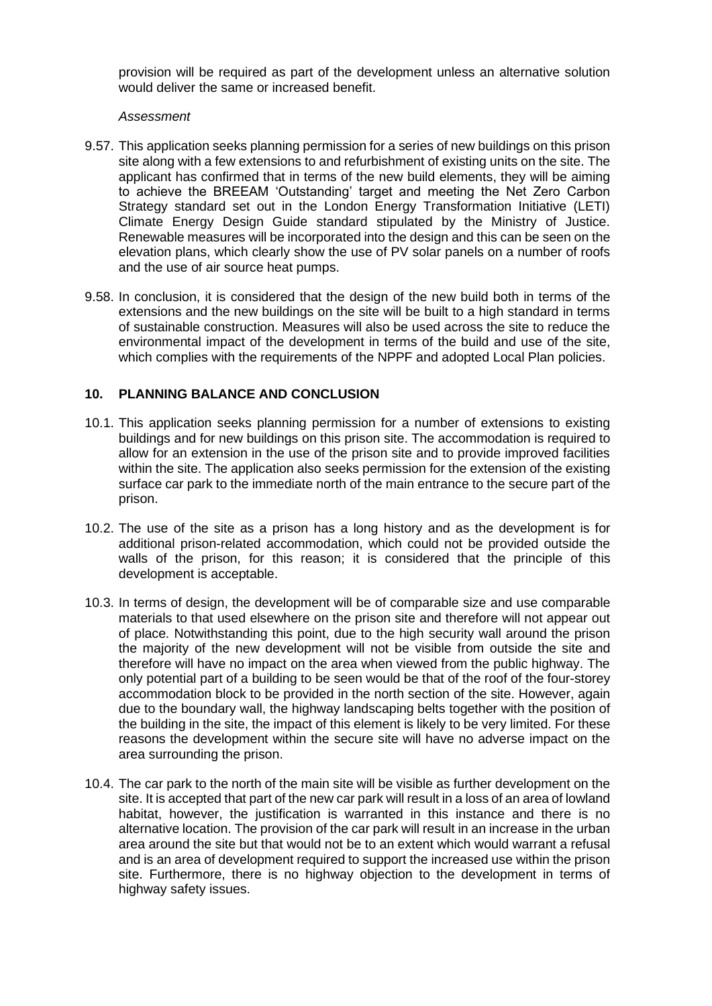provision will be required as part of the development unless an alternative solution would deliver the same or increased benefit.

### *Assessment*

- 9.57. This application seeks planning permission for a series of new buildings on this prison site along with a few extensions to and refurbishment of existing units on the site. The applicant has confirmed that in terms of the new build elements, they will be aiming to achieve the BREEAM 'Outstanding' target and meeting the Net Zero Carbon Strategy standard set out in the London Energy Transformation Initiative (LETI) Climate Energy Design Guide standard stipulated by the Ministry of Justice. Renewable measures will be incorporated into the design and this can be seen on the elevation plans, which clearly show the use of PV solar panels on a number of roofs and the use of air source heat pumps.
- 9.58. In conclusion, it is considered that the design of the new build both in terms of the extensions and the new buildings on the site will be built to a high standard in terms of sustainable construction. Measures will also be used across the site to reduce the environmental impact of the development in terms of the build and use of the site, which complies with the requirements of the NPPF and adopted Local Plan policies.

# **10. PLANNING BALANCE AND CONCLUSION**

- 10.1. This application seeks planning permission for a number of extensions to existing buildings and for new buildings on this prison site. The accommodation is required to allow for an extension in the use of the prison site and to provide improved facilities within the site. The application also seeks permission for the extension of the existing surface car park to the immediate north of the main entrance to the secure part of the prison.
- 10.2. The use of the site as a prison has a long history and as the development is for additional prison-related accommodation, which could not be provided outside the walls of the prison, for this reason; it is considered that the principle of this development is acceptable.
- 10.3. In terms of design, the development will be of comparable size and use comparable materials to that used elsewhere on the prison site and therefore will not appear out of place. Notwithstanding this point, due to the high security wall around the prison the majority of the new development will not be visible from outside the site and therefore will have no impact on the area when viewed from the public highway. The only potential part of a building to be seen would be that of the roof of the four-storey accommodation block to be provided in the north section of the site. However, again due to the boundary wall, the highway landscaping belts together with the position of the building in the site, the impact of this element is likely to be very limited. For these reasons the development within the secure site will have no adverse impact on the area surrounding the prison.
- 10.4. The car park to the north of the main site will be visible as further development on the site. It is accepted that part of the new car park will result in a loss of an area of lowland habitat, however, the justification is warranted in this instance and there is no alternative location. The provision of the car park will result in an increase in the urban area around the site but that would not be to an extent which would warrant a refusal and is an area of development required to support the increased use within the prison site. Furthermore, there is no highway objection to the development in terms of highway safety issues.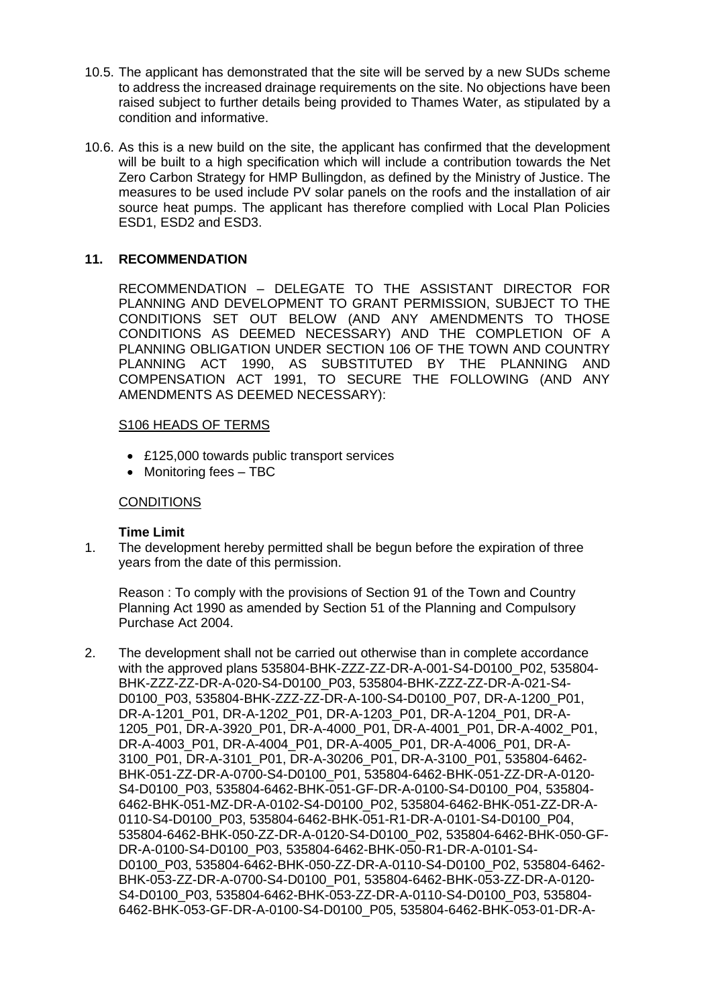- 10.5. The applicant has demonstrated that the site will be served by a new SUDs scheme to address the increased drainage requirements on the site. No objections have been raised subject to further details being provided to Thames Water, as stipulated by a condition and informative.
- 10.6. As this is a new build on the site, the applicant has confirmed that the development will be built to a high specification which will include a contribution towards the Net Zero Carbon Strategy for HMP Bullingdon, as defined by the Ministry of Justice. The measures to be used include PV solar panels on the roofs and the installation of air source heat pumps. The applicant has therefore complied with Local Plan Policies ESD1, ESD2 and ESD3.

# **11. RECOMMENDATION**

RECOMMENDATION – DELEGATE TO THE ASSISTANT DIRECTOR FOR PLANNING AND DEVELOPMENT TO GRANT PERMISSION, SUBJECT TO THE CONDITIONS SET OUT BELOW (AND ANY AMENDMENTS TO THOSE CONDITIONS AS DEEMED NECESSARY) AND THE COMPLETION OF A PLANNING OBLIGATION UNDER SECTION 106 OF THE TOWN AND COUNTRY PLANNING ACT 1990, AS SUBSTITUTED BY THE PLANNING AND COMPENSATION ACT 1991, TO SECURE THE FOLLOWING (AND ANY AMENDMENTS AS DEEMED NECESSARY):

### S106 HEADS OF TERMS

- £125,000 towards public transport services
- Monitoring fees TBC

### **CONDITIONS**

## **Time Limit**

1. The development hereby permitted shall be begun before the expiration of three years from the date of this permission.

Reason : To comply with the provisions of Section 91 of the Town and Country Planning Act 1990 as amended by Section 51 of the Planning and Compulsory Purchase Act 2004.

2. The development shall not be carried out otherwise than in complete accordance with the approved plans 535804-BHK-ZZZ-ZZ-DR-A-001-S4-D0100\_P02, 535804- BHK-ZZZ-ZZ-DR-A-020-S4-D0100\_P03, 535804-BHK-ZZZ-ZZ-DR-A-021-S4- D0100\_P03, 535804-BHK-ZZZ-ZZ-DR-A-100-S4-D0100\_P07, DR-A-1200\_P01, DR-A-1201\_P01, DR-A-1202\_P01, DR-A-1203\_P01, DR-A-1204\_P01, DR-A-1205\_P01, DR-A-3920\_P01, DR-A-4000\_P01, DR-A-4001\_P01, DR-A-4002\_P01, DR-A-4003\_P01, DR-A-4004\_P01, DR-A-4005\_P01, DR-A-4006\_P01, DR-A-3100\_P01, DR-A-3101\_P01, DR-A-30206\_P01, DR-A-3100\_P01, 535804-6462- BHK-051-ZZ-DR-A-0700-S4-D0100\_P01, 535804-6462-BHK-051-ZZ-DR-A-0120- S4-D0100\_P03, 535804-6462-BHK-051-GF-DR-A-0100-S4-D0100\_P04, 535804- 6462-BHK-051-MZ-DR-A-0102-S4-D0100\_P02, 535804-6462-BHK-051-ZZ-DR-A-0110-S4-D0100\_P03, 535804-6462-BHK-051-R1-DR-A-0101-S4-D0100\_P04, 535804-6462-BHK-050-ZZ-DR-A-0120-S4-D0100\_P02, 535804-6462-BHK-050-GF-DR-A-0100-S4-D0100\_P03, 535804-6462-BHK-050-R1-DR-A-0101-S4- D0100\_P03, 535804-6462-BHK-050-ZZ-DR-A-0110-S4-D0100\_P02, 535804-6462- BHK-053-ZZ-DR-A-0700-S4-D0100\_P01, 535804-6462-BHK-053-ZZ-DR-A-0120- S4-D0100\_P03, 535804-6462-BHK-053-ZZ-DR-A-0110-S4-D0100\_P03, 535804- 6462-BHK-053-GF-DR-A-0100-S4-D0100\_P05, 535804-6462-BHK-053-01-DR-A-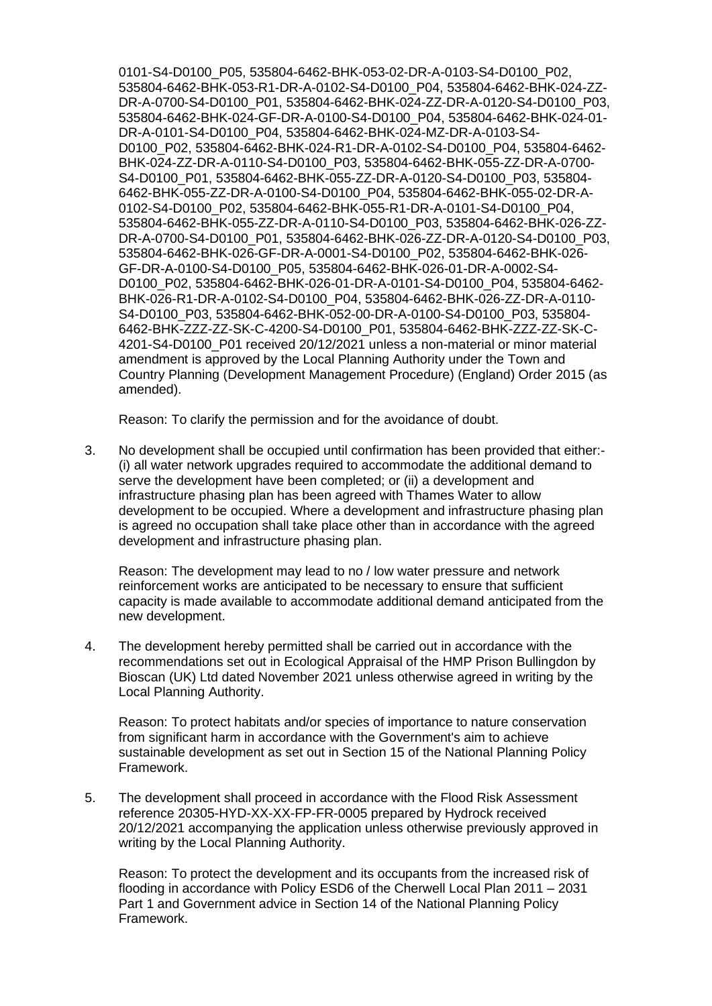0101-S4-D0100\_P05, 535804-6462-BHK-053-02-DR-A-0103-S4-D0100\_P02, 535804-6462-BHK-053-R1-DR-A-0102-S4-D0100\_P04, 535804-6462-BHK-024-ZZ-DR-A-0700-S4-D0100\_P01, 535804-6462-BHK-024-ZZ-DR-A-0120-S4-D0100\_P03, 535804-6462-BHK-024-GF-DR-A-0100-S4-D0100\_P04, 535804-6462-BHK-024-01- DR-A-0101-S4-D0100\_P04, 535804-6462-BHK-024-MZ-DR-A-0103-S4- D0100\_P02, 535804-6462-BHK-024-R1-DR-A-0102-S4-D0100\_P04, 535804-6462- BHK-024-ZZ-DR-A-0110-S4-D0100\_P03, 535804-6462-BHK-055-ZZ-DR-A-0700- S4-D0100\_P01, 535804-6462-BHK-055-ZZ-DR-A-0120-S4-D0100\_P03, 535804- 6462-BHK-055-ZZ-DR-A-0100-S4-D0100\_P04, 535804-6462-BHK-055-02-DR-A-0102-S4-D0100\_P02, 535804-6462-BHK-055-R1-DR-A-0101-S4-D0100\_P04, 535804-6462-BHK-055-ZZ-DR-A-0110-S4-D0100\_P03, 535804-6462-BHK-026-ZZ-DR-A-0700-S4-D0100\_P01, 535804-6462-BHK-026-ZZ-DR-A-0120-S4-D0100\_P03, 535804-6462-BHK-026-GF-DR-A-0001-S4-D0100\_P02, 535804-6462-BHK-026- GF-DR-A-0100-S4-D0100\_P05, 535804-6462-BHK-026-01-DR-A-0002-S4- D0100\_P02, 535804-6462-BHK-026-01-DR-A-0101-S4-D0100\_P04, 535804-6462- BHK-026-R1-DR-A-0102-S4-D0100\_P04, 535804-6462-BHK-026-ZZ-DR-A-0110- S4-D0100\_P03, 535804-6462-BHK-052-00-DR-A-0100-S4-D0100\_P03, 535804-6462-BHK-ZZZ-ZZ-SK-C-4200-S4-D0100\_P01, 535804-6462-BHK-ZZZ-ZZ-SK-C-4201-S4-D0100\_P01 received 20/12/2021 unless a non-material or minor material amendment is approved by the Local Planning Authority under the Town and Country Planning (Development Management Procedure) (England) Order 2015 (as amended).

Reason: To clarify the permission and for the avoidance of doubt.

3. No development shall be occupied until confirmation has been provided that either:- (i) all water network upgrades required to accommodate the additional demand to serve the development have been completed; or (ii) a development and infrastructure phasing plan has been agreed with Thames Water to allow development to be occupied. Where a development and infrastructure phasing plan is agreed no occupation shall take place other than in accordance with the agreed development and infrastructure phasing plan.

Reason: The development may lead to no / low water pressure and network reinforcement works are anticipated to be necessary to ensure that sufficient capacity is made available to accommodate additional demand anticipated from the new development.

4. The development hereby permitted shall be carried out in accordance with the recommendations set out in Ecological Appraisal of the HMP Prison Bullingdon by Bioscan (UK) Ltd dated November 2021 unless otherwise agreed in writing by the Local Planning Authority.

Reason: To protect habitats and/or species of importance to nature conservation from significant harm in accordance with the Government's aim to achieve sustainable development as set out in Section 15 of the National Planning Policy Framework.

5. The development shall proceed in accordance with the Flood Risk Assessment reference 20305-HYD-XX-XX-FP-FR-0005 prepared by Hydrock received 20/12/2021 accompanying the application unless otherwise previously approved in writing by the Local Planning Authority.

Reason: To protect the development and its occupants from the increased risk of flooding in accordance with Policy ESD6 of the Cherwell Local Plan 2011 – 2031 Part 1 and Government advice in Section 14 of the National Planning Policy Framework.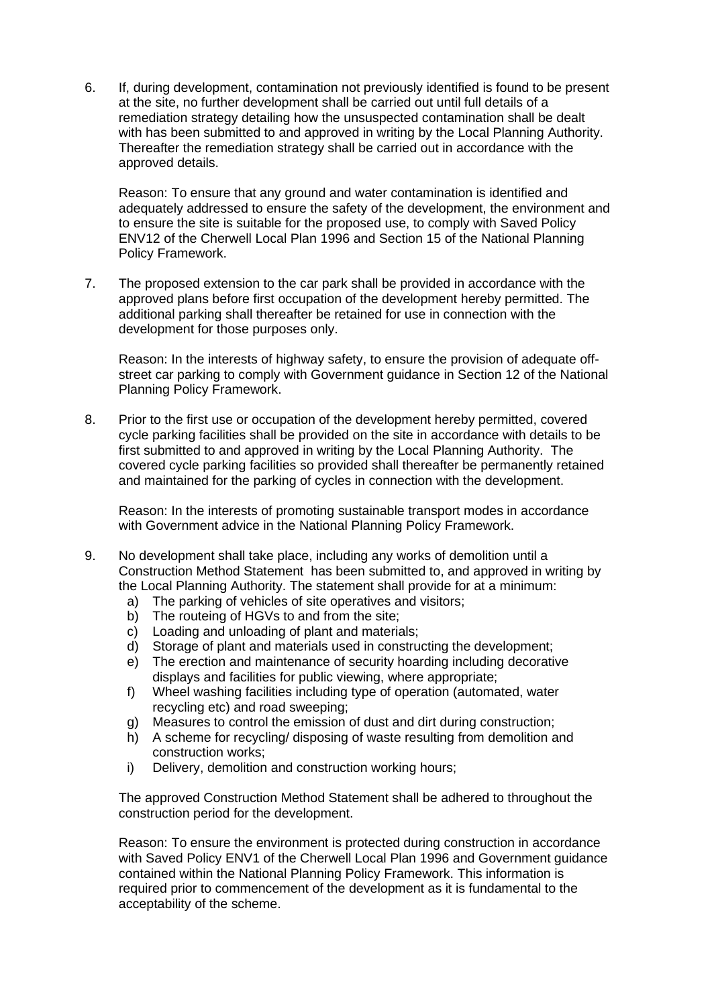6. If, during development, contamination not previously identified is found to be present at the site, no further development shall be carried out until full details of a remediation strategy detailing how the unsuspected contamination shall be dealt with has been submitted to and approved in writing by the Local Planning Authority. Thereafter the remediation strategy shall be carried out in accordance with the approved details.

Reason: To ensure that any ground and water contamination is identified and adequately addressed to ensure the safety of the development, the environment and to ensure the site is suitable for the proposed use, to comply with Saved Policy ENV12 of the Cherwell Local Plan 1996 and Section 15 of the National Planning Policy Framework.

7. The proposed extension to the car park shall be provided in accordance with the approved plans before first occupation of the development hereby permitted. The additional parking shall thereafter be retained for use in connection with the development for those purposes only.

Reason: In the interests of highway safety, to ensure the provision of adequate offstreet car parking to comply with Government guidance in Section 12 of the National Planning Policy Framework.

8. Prior to the first use or occupation of the development hereby permitted, covered cycle parking facilities shall be provided on the site in accordance with details to be first submitted to and approved in writing by the Local Planning Authority. The covered cycle parking facilities so provided shall thereafter be permanently retained and maintained for the parking of cycles in connection with the development.

Reason: In the interests of promoting sustainable transport modes in accordance with Government advice in the National Planning Policy Framework.

- 9. No development shall take place, including any works of demolition until a Construction Method Statement has been submitted to, and approved in writing by the Local Planning Authority. The statement shall provide for at a minimum:
	- a) The parking of vehicles of site operatives and visitors;
	- b) The routeing of HGVs to and from the site;
	- c) Loading and unloading of plant and materials;
	- d) Storage of plant and materials used in constructing the development;
	- e) The erection and maintenance of security hoarding including decorative displays and facilities for public viewing, where appropriate;
	- f) Wheel washing facilities including type of operation (automated, water recycling etc) and road sweeping;
	- g) Measures to control the emission of dust and dirt during construction;
	- h) A scheme for recycling/ disposing of waste resulting from demolition and construction works;
	- i) Delivery, demolition and construction working hours;

The approved Construction Method Statement shall be adhered to throughout the construction period for the development.

Reason: To ensure the environment is protected during construction in accordance with Saved Policy ENV1 of the Cherwell Local Plan 1996 and Government guidance contained within the National Planning Policy Framework. This information is required prior to commencement of the development as it is fundamental to the acceptability of the scheme.